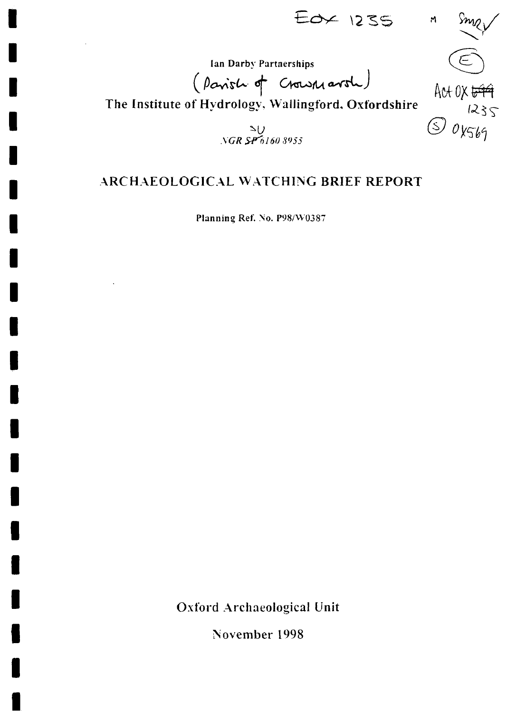$E$ o $\times$  1235

 $\mathsf{M}$ 

Act OX <del>699</del>

 $\circledS$  ox569

Ian Darby Partnerships

(Parish of Crown arol)

The Institute of Hydrology, Wallingford, Oxfordshire

 $\frac{S}{NGR}$   $\frac{S}{P}$  6160 8955

## ARCHAEOLOGICAL WATCHING BRIEF REPORT

Planning Ref. No. P98/W0387

**Oxford Archaeological Unit** 

November 1998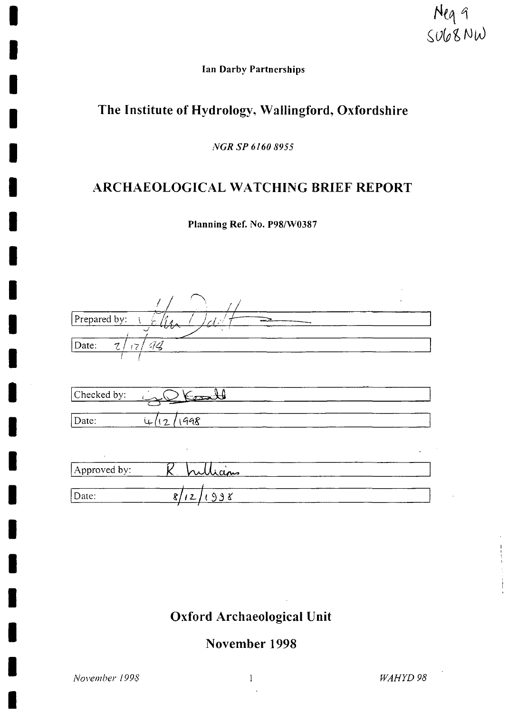Neg 9<br>Sub8NW

**Ian Darby Partnerships** 

# The Institute of Hydrology, Wallingford, Oxfordshire

*NGRSP 6160 8955* 

### ARCHAEOLOGICAL WATCHING BRIEF REPORT

**Planning Ref. No. P98/W0387** 

| Prepared by:<br>$\Delta t^2$         |
|--------------------------------------|
| 44<br>Date:<br>$\mathcal{I}$<br>17/  |
|                                      |
| Comedi<br>Checked by:                |
| 1998<br>Date:<br>نڊ<br>$\frac{1}{2}$ |
| $\cdot$<br>$\bullet$                 |
| <u> Uicins</u><br>Approved by:       |
| Date:<br>998<br>8/<br>12             |

# Oxford Archaeological Unit

November 1998

*November 1998 WAHYD 98* 

Ì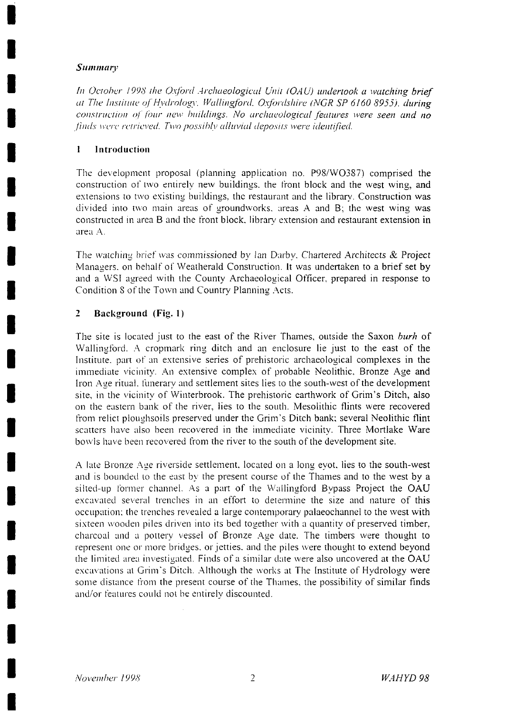#### *Summary*

*In October 1998 the Oxford Archaeological Unit (OAU) undertook a watching brief at The Institute of Hydrology, Wallingford, Oxfordshire (NGR SP 6160 8955), during construction oj four new buildings. No archaeological features were seen and no finds were retrieved. Two possibly alluvial deposits were identified.* 

#### **1 Introduction**

The development proposal (planning application no. P98/W0387) comprised the construction of two entirely new buildings, the front block and the west wing, and extensions to two existing buildings, the restaurant and the library. Construction was divided into two main areas of groundworks, areas A and B; the west wing was constructed in area B and the front block, library extension and restaurant extension in area A.

The watching brief was commissioned by Ian Darby. Chartered Architects & Project Managers, on behalf of Weatherald Construction. It was undertaken to a brief set by and a WSF agreed with the County Archaeological Officer, prepared in response to Condition 8 of the Town and Country Planning Acts.

#### **2 Background (Fig. 1)**

The site is located just to the east of the River Thames, outside the Saxon *burh* of Wallingford. A cropmark ring ditch and an enclosure lie just to the east of the Institute, part *o\'* an extensive series of prehistoric archaeological complexes in the immediate vicinity. An extensive complex of probable Neolithic. Bronze Age and Iron Age ritual, funerary and settlement sites lies to the south-west of the development site, in the vicinity of Winterbrook. The prehistoric earthwork of Grim's Ditch, also on the eastern bank of the river, lies to the south. Mesolithic flints were recovered from relict ploughsoils preserved under the Grim's Ditch bank; several Neolithic flint scatters have also been recovered in the immediate vicinity. Three Mortlake Ware bowls have been recovered from the river to the south of the development site.

A late Bronze Age riverside settlement, located *on* a long eyot. lies to the south-west and is bounded to the east by the present course of the Thames and to the west by a silted-up former channel. As a part of the Wallingford Bypass Project the OAU excavated several trenches in an effort to determine the size and nature of this occupation; the trenches revealed a large contemporary palaeochannel to the west with sixteen wooden piles driven into its bed together with a quantity of preserved timber, charcoal and a pottery vessel of Bronze Age date. The timbers were thought to represent one or more bridges, or jetties, and the piles were thought to extend beyond the limited area investigated. Finds of a similar date were also uncovered at the OAU excavations at Grim's Ditch. Although the works at The Institute of Hydrology were some distance from the present course of the Thames, the possibility of similar finds and/or features could not be entirely discounted.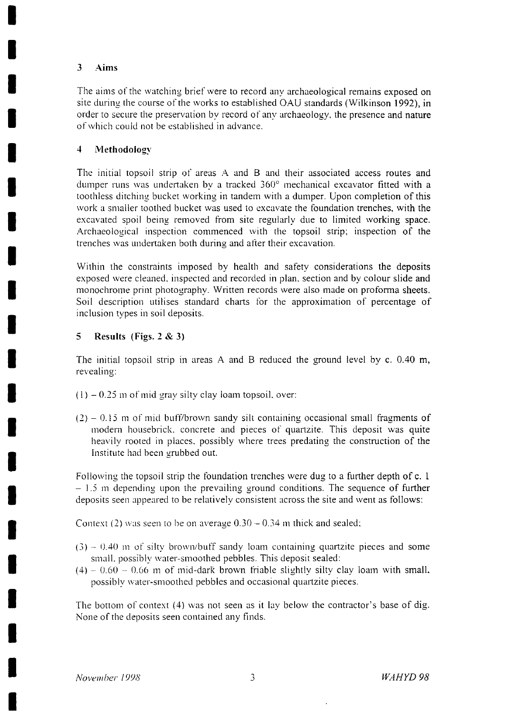#### 3 Aims

The aims of the watching brief were to record any archaeological remains exposed on site during the course of the works to established OAU standards (Wilkinson 1992), in order to secure the preservation by record of any archaeology, the presence and nature of which could not be established in advance.

#### 4 Methodology

The initial topsoil strip of areas A and B and their associated access routes and dumper runs was undertaken by a tracked 360° mechanical excavator fitted with a toothless ditching bucket working in tandem with a dumper. Upon completion of this work a smaller toothed bucket was used to excavate the foundation trenches, with the excavated spoil being removed from site regularly due to limited working space. Archaeological inspection commenced with the topsoil strip; inspection of the trenches was undertaken both during and after their excavation.

Within the constraints imposed by health and safety considerations the deposits exposed were cleaned, inspected and recorded in plan, section and by colour slide and monochrome print photography. Written records were also made on proforma sheets. Soil description utilises standard charts for the approximation of percentage of inclusion types in soil deposits.

#### 5 Results (Figs. 2 & 3)

The initial topsoil strip in areas A and B reduced the ground level by c. 0.40 m, revealing:

- $(1)$  0.25 m of mid gray silty clay loam topsoil, over:
- $(2)$  0.15 m of mid buff/brown sandy silt containing occasional small fragments of modern housebrick. concrete and pieces *of* quartzite. This deposit was quite heavily rooted in places, possibly where trees predating the construction of the institute had been grubbed out.

Following the topsoil strip the foundation trenches were dug to a further depth of c. 1  $-1.5$  m depending upon the prevailing ground conditions. The sequence of further deposits seen appeared to be relatively consistent across the site and went as follows:

Context (2) was seen to be *on* average 0.30 - 0.34 m thick and sealed;

- (3) 0.40 m *of* silty brown/buff sandy loam containing quartzite pieces and some small, possibly water-smoothed pebbles. This deposit sealed:
- $(4)$  0.60 0.66 m of mid-dark brown friable slightly silty clay loam with small. possibly water-smoothed pebbles and occasional quartzite pieces.

The bottom of context (4) was not seen as it lay below the contractor's base of dig. None of the deposits seen contained any finds.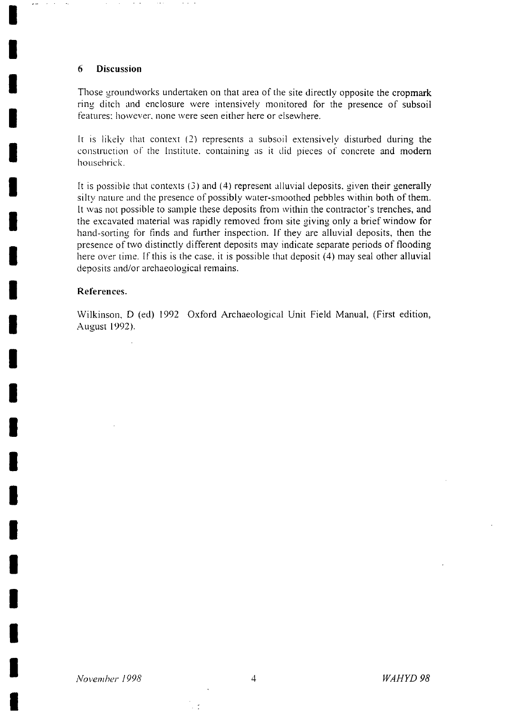#### **6 Discussion**

 $\alpha$  ,  $\beta$  $\bar{\nu}$  as

> Those groundworks undertaken on that area of the site directly opposite the cropmark ring ditch and enclosure were intensively monitored for the presence of subsoil features: however, none were seen either here or elsewhere.

> It is likely that context (2) represents a subsoil extensively disturbed during the construction of the Institute, containing as it did pieces *of* concrete and modern housebrick.

> It is possible that contexts (3) and (4) represent alluvial deposits, given their generally silty nature and the presence of possibly water-smoothed pebbles within both of them. It was not possible to sample these deposits from within the contractor's trenches, and the excavated material was rapidly removed from site giving only a brief window for hand-sorting for finds and further inspection. If they are alluvial deposits, then the presence of two distinctly different deposits may indicate separate periods of flooding here over time. If this is the case, it is possible that deposit (4) may seal other alluvial deposits and/or archaeological remains.

#### **References.**

Wilkinson, D (ed) 1992 Oxford Archaeological Unit Field Manual, (First edition, August 1992).

 $\sim$   $^{\circ}$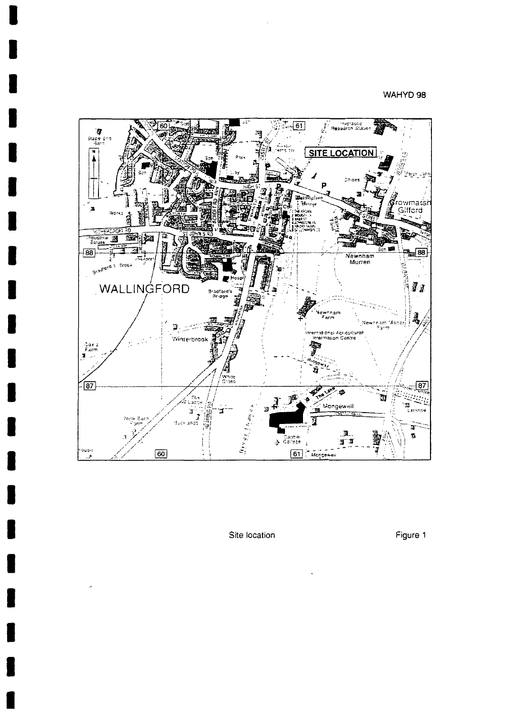#### WAHYD 98



Site location **Figure 1**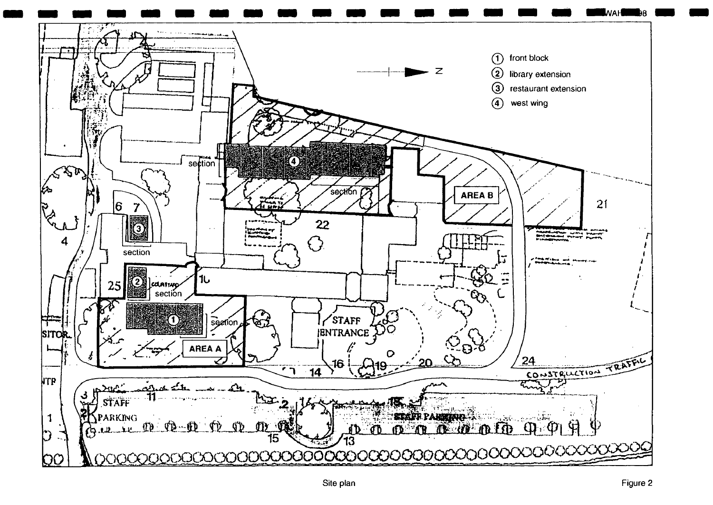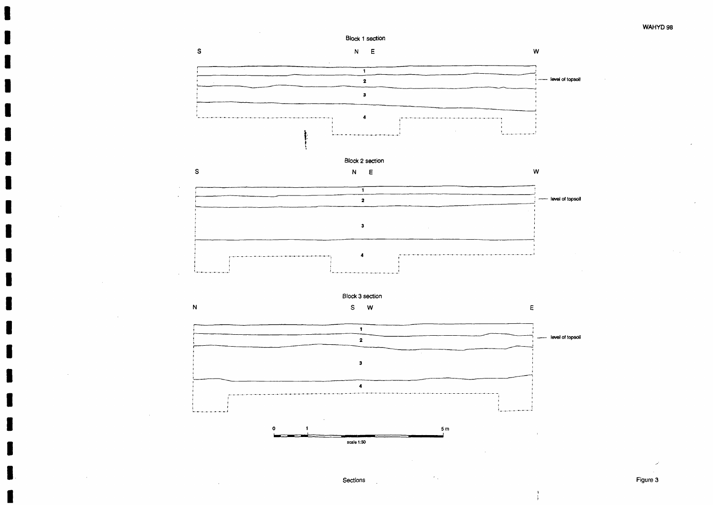#### WAHYD 98

**-- level of topsoil** 

*--* level of topsoil

**Later Level of topsoil** 

 $E$ 



**3** 

 $\blacktriangleleft$ 

1 i 1

Sections **Figure 3** 

1

N

1 the contract of the contract of the contract of the contract of the contract of the contract of the contract<br>1 the contract of the contract of the contract of the contract of the contract of the contract of the contract

Block 3 section S W

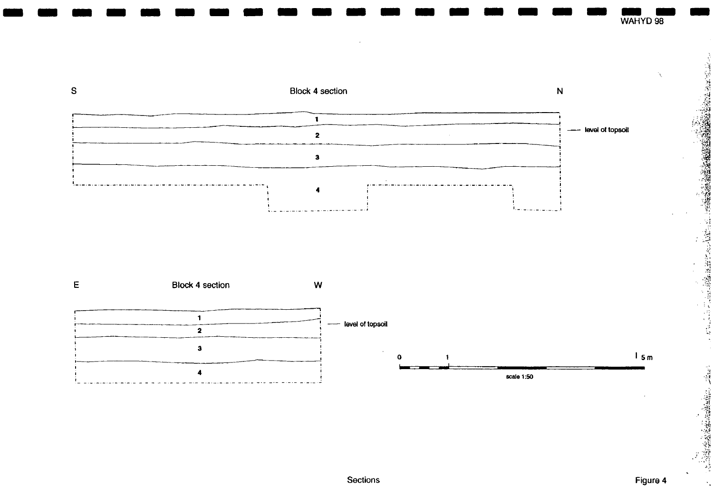

Sections Figure 4

WAHYD 98

- 1974年12月26日は松野の大都市の時代の現代の「1974年12月12日には1974年12月12日、1974年12月12日、1974年12月12日、1974年12月12日、1974年12月12日 1974年12月12日、1974年12月12日、1974年12月12日、1974年12月12日、1974年12月12日、1974年12月12日、1974年12月12日、1974年12月12日、1974年12月12日、1974年12月12日、

 $\mathbf{v}$